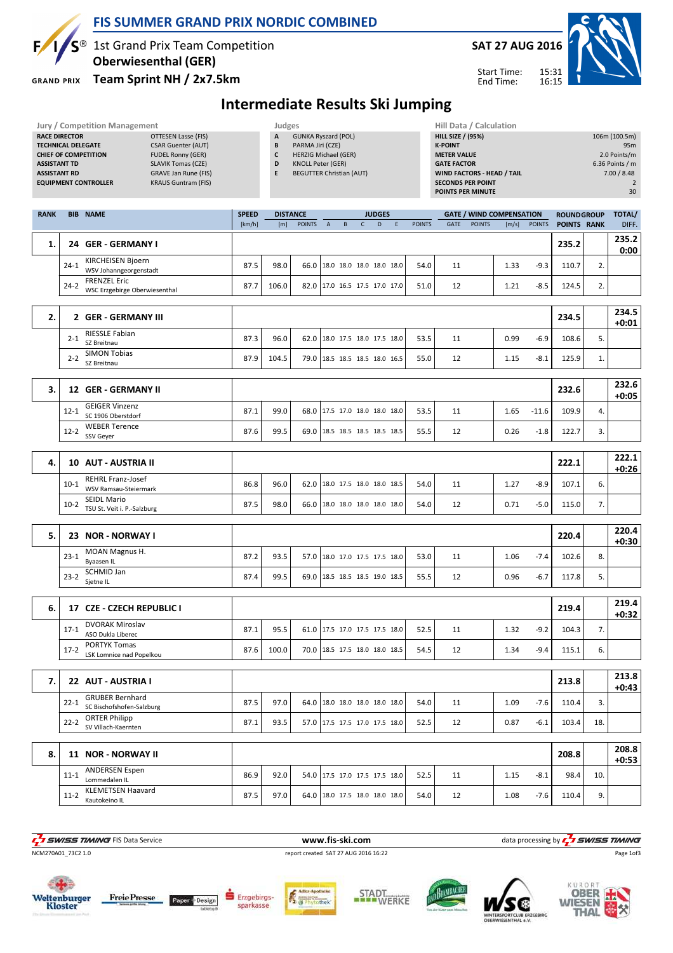

### FIS SUMMER GRAND PRIX NORDIC COMBINED

# $S^{\circledast}$  1st Grand Prix Team Competition

Oberwiesenthal (GER)

**GRAND PRIX** 

#### Team Sprint NH / 2x7.5km



Start Time: End Time:

# Intermediate Results Ski Jumping

|             | <b>Jury / Competition Management</b><br><b>RACE DIRECTOR</b><br><b>OTTESEN Lasse (FIS)</b><br><b>TECHNICAL DELEGATE</b><br><b>CSAR Guenter (AUT)</b><br><b>CHIEF OF COMPETITION</b><br><b>FUDEL Ronny (GER)</b><br><b>SLAVIK Tomas (CZE)</b><br><b>ASSISTANT TD</b><br><b>ASSISTANT RD</b><br><b>GRAVE Jan Rune (FIS)</b><br><b>KRAUS Guntram (FIS)</b><br><b>EQUIPMENT CONTROLLER</b> |                        | Judges<br>A<br>B<br>$\mathsf{c}$<br>D<br>E | <b>GUNKA Ryszard (POL)</b><br>PARMA Jiri (CZE)<br><b>HERZIG Michael (GER)</b><br><b>KNOLL Peter (GER)</b><br><b>BEGUTTER Christian (AUT)</b> |                |   |              |                                                                  |   |               | Hill Data / Calculation<br><b>HILL SIZE / (95%)</b><br><b>K-POINT</b><br><b>METER VALUE</b><br><b>GATE FACTOR</b><br>WIND FACTORS - HEAD / TAIL<br><b>SECONDS PER POINT</b><br>POINTS PER MINUTE |               |                                          |                  |                                  |          | 106m (100.5m)<br>95m<br>2.0 Points/m<br>6.36 Points / m<br>7.00 / 8.48<br>$\overline{2}$<br>30 |
|-------------|----------------------------------------------------------------------------------------------------------------------------------------------------------------------------------------------------------------------------------------------------------------------------------------------------------------------------------------------------------------------------------------|------------------------|--------------------------------------------|----------------------------------------------------------------------------------------------------------------------------------------------|----------------|---|--------------|------------------------------------------------------------------|---|---------------|--------------------------------------------------------------------------------------------------------------------------------------------------------------------------------------------------|---------------|------------------------------------------|------------------|----------------------------------|----------|------------------------------------------------------------------------------------------------|
| <b>RANK</b> | <b>BIB NAME</b>                                                                                                                                                                                                                                                                                                                                                                        | <b>SPEED</b><br>[km/h] | [m]                                        | <b>DISTANCE</b><br><b>POINTS</b>                                                                                                             | $\overline{A}$ | B | $\mathsf{C}$ | <b>JUDGES</b><br>D                                               | E | <b>POINTS</b> | GATE                                                                                                                                                                                             | <b>POINTS</b> | <b>GATE / WIND COMPENSATION</b><br>[m/s] | <b>POINTS</b>    | <b>ROUNDGROUP</b><br>POINTS RANK |          | <b>TOTAL/</b><br>DIFF.                                                                         |
| 1.          | 24 GER - GERMANY I                                                                                                                                                                                                                                                                                                                                                                     |                        |                                            |                                                                                                                                              |                |   |              |                                                                  |   |               |                                                                                                                                                                                                  |               |                                          |                  | 235.2                            |          | 235.2<br>0:00                                                                                  |
|             | KIRCHEISEN Bjoern<br>$24-1$<br>WSV Johanngeorgenstadt                                                                                                                                                                                                                                                                                                                                  | 87.5                   | 98.0                                       | 66.0                                                                                                                                         |                |   |              | 18.0 18.0 18.0 18.0 18.0                                         |   | 54.0          | 11                                                                                                                                                                                               |               | 1.33                                     | $-9.3$           | 110.7                            | 2.       |                                                                                                |
|             | <b>FRENZEL Eric</b><br>$24-2$<br>WSC Erzgebirge Oberwiesenthal                                                                                                                                                                                                                                                                                                                         | 87.7                   | 106.0                                      |                                                                                                                                              |                |   |              | 82.0 17.0 16.5 17.5 17.0 17.0                                    |   | 51.0          | 12                                                                                                                                                                                               |               | 1.21                                     | $-8.5$           | 124.5                            | 2.       |                                                                                                |
| 2.          | 2 GER - GERMANY III                                                                                                                                                                                                                                                                                                                                                                    |                        |                                            |                                                                                                                                              |                |   |              |                                                                  |   |               |                                                                                                                                                                                                  |               |                                          |                  | 234.5                            |          | 234.5<br>$+0:01$                                                                               |
|             | <b>RIESSLE Fabian</b><br>$2 - 1$<br>SZ Breitnau                                                                                                                                                                                                                                                                                                                                        | 87.3                   | 96.0                                       |                                                                                                                                              |                |   |              | 62.0 18.0 17.5 18.0 17.5 18.0                                    |   | 53.5          | 11                                                                                                                                                                                               |               | 0.99                                     | $-6.9$           | 108.6                            | 5.       |                                                                                                |
|             | <b>SIMON Tobias</b><br>$2 - 2$<br>SZ Breitnau                                                                                                                                                                                                                                                                                                                                          | 87.9                   | 104.5                                      |                                                                                                                                              |                |   |              | 79.0 18.5 18.5 18.5 18.0 16.5                                    |   | 55.0          | 12                                                                                                                                                                                               |               | 1.15                                     | $-8.1$           | 125.9                            | 1.       |                                                                                                |
| 3.          | 12 GER - GERMANY II                                                                                                                                                                                                                                                                                                                                                                    |                        |                                            |                                                                                                                                              |                |   |              |                                                                  |   |               |                                                                                                                                                                                                  |               |                                          |                  | 232.6                            |          | 232.6<br>$+0:05$                                                                               |
|             | <b>GEIGER Vinzenz</b><br>$12 - 1$<br>SC 1906 Oberstdorf                                                                                                                                                                                                                                                                                                                                | 87.1                   | 99.0                                       |                                                                                                                                              |                |   |              | 68.0 17.5 17.0 18.0 18.0 18.0                                    |   | 53.5          | 11                                                                                                                                                                                               |               | 1.65                                     | $-11.6$          | 109.9                            | 4.       |                                                                                                |
|             | <b>WEBER Terence</b><br>$12 - 2$<br>SSV Geyer                                                                                                                                                                                                                                                                                                                                          | 87.6                   | 99.5                                       |                                                                                                                                              |                |   |              | 69.0   18.5 18.5 18.5 18.5 18.5                                  |   | 55.5          | 12                                                                                                                                                                                               |               | 0.26                                     | $-1.8$           | 122.7                            | 3.       |                                                                                                |
|             |                                                                                                                                                                                                                                                                                                                                                                                        |                        |                                            |                                                                                                                                              |                |   |              |                                                                  |   |               |                                                                                                                                                                                                  |               |                                          |                  |                                  |          | 222.1                                                                                          |
| 4.          | <b>10 AUT - AUSTRIA II</b><br><b>REHRL Franz-Josef</b>                                                                                                                                                                                                                                                                                                                                 |                        |                                            |                                                                                                                                              |                |   |              |                                                                  |   |               |                                                                                                                                                                                                  |               |                                          |                  | 222.1                            |          | $+0:26$                                                                                        |
|             | $10-1$<br>WSV Ramsau-Steiermark<br><b>SEIDL Mario</b><br>$10-2$                                                                                                                                                                                                                                                                                                                        | 86.8<br>87.5           | 96.0<br>98.0                               |                                                                                                                                              |                |   |              | 62.0   18.0 17.5 18.0 18.0 18.5<br>66.0 18.0 18.0 18.0 18.0 18.0 |   | 54.0          | 11                                                                                                                                                                                               |               | 1.27<br>0.71                             | $-8.9$<br>$-5.0$ | 107.1<br>115.0                   | 6.<br>7. |                                                                                                |
|             | TSU St. Veit i. P.-Salzburg                                                                                                                                                                                                                                                                                                                                                            |                        |                                            |                                                                                                                                              |                |   |              |                                                                  |   | 54.0          | 12                                                                                                                                                                                               |               |                                          |                  |                                  |          |                                                                                                |
| 5.          | 23 NOR - NORWAY I                                                                                                                                                                                                                                                                                                                                                                      |                        |                                            |                                                                                                                                              |                |   |              |                                                                  |   |               |                                                                                                                                                                                                  |               |                                          |                  | 220.4                            |          | 220.4<br>$+0:30$                                                                               |
|             | MOAN Magnus H.<br>$23 - 1$<br>Byaasen IL                                                                                                                                                                                                                                                                                                                                               | 87.2                   | 93.5                                       | 57.0                                                                                                                                         |                |   |              | 18.0 17.0 17.5 17.5 18.0                                         |   | 53.0          | 11                                                                                                                                                                                               |               | 1.06                                     | $-7.4$           | 102.6                            | 8.       |                                                                                                |
|             | SCHMID Jan<br>$23 - 2$<br>Sjetne IL                                                                                                                                                                                                                                                                                                                                                    | 87.4                   | 99.5                                       |                                                                                                                                              |                |   |              | 69.0 18.5 18.5 18.5 19.0 18.5                                    |   | 55.5          | 12                                                                                                                                                                                               |               | 0.96                                     | $-6.7$           | 117.8                            | 5.       |                                                                                                |
| 6.          | 17 CZE - CZECH REPUBLIC I                                                                                                                                                                                                                                                                                                                                                              |                        |                                            |                                                                                                                                              |                |   |              |                                                                  |   |               |                                                                                                                                                                                                  |               |                                          |                  | 219.4                            |          | 219.4<br>$+0:32$                                                                               |
|             | <b>DVORAK Miroslav</b><br>$17 - 1$<br>ASO Dukla Liberec                                                                                                                                                                                                                                                                                                                                | 87.1                   | 95.5                                       |                                                                                                                                              |                |   |              | 61.0 17.5 17.0 17.5 17.5 18.0                                    |   | 52.5          | 11                                                                                                                                                                                               |               | 1.32                                     | $-9.2$           | 104.3                            | 7.       |                                                                                                |
|             | PORTYK Tomas<br>$17-2$<br>LSK Lomnice nad Popelkou                                                                                                                                                                                                                                                                                                                                     | 87.6                   | 100.0                                      |                                                                                                                                              |                |   |              | 70.0   18.5 17.5 18.0 18.0 18.5                                  |   | 54.5          | 12                                                                                                                                                                                               |               | 1.34                                     | $-9.4$           | 115.1                            | 6.       |                                                                                                |
|             |                                                                                                                                                                                                                                                                                                                                                                                        |                        |                                            |                                                                                                                                              |                |   |              |                                                                  |   |               |                                                                                                                                                                                                  |               |                                          |                  |                                  |          | 213.8                                                                                          |
| 7.          | 22 AUT - AUSTRIA I<br><b>GRUBER Bernhard</b>                                                                                                                                                                                                                                                                                                                                           |                        |                                            |                                                                                                                                              |                |   |              |                                                                  |   |               |                                                                                                                                                                                                  |               |                                          |                  | 213.8                            |          | $+0:43$                                                                                        |
|             | $22 - 1$<br>SC Bischofshofen-Salzburg<br><b>ORTER Philipp</b>                                                                                                                                                                                                                                                                                                                          | 87.5                   | 97.0                                       | 64.0                                                                                                                                         |                |   |              | 18.0 18.0 18.0 18.0 18.0                                         |   | 54.0          | 11                                                                                                                                                                                               |               | 1.09                                     | $-7.6$           | 110.4                            | 3.       |                                                                                                |
|             | $22 - 2$<br>SV Villach-Kaernten                                                                                                                                                                                                                                                                                                                                                        | 87.1                   | 93.5                                       |                                                                                                                                              |                |   |              | 57.0 17.5 17.5 17.0 17.5 18.0                                    |   | 52.5          | 12                                                                                                                                                                                               |               | 0.87                                     | $-6.1$           | 103.4                            | 18.      |                                                                                                |
| 8.          | 11 NOR - NORWAY II                                                                                                                                                                                                                                                                                                                                                                     |                        |                                            |                                                                                                                                              |                |   |              |                                                                  |   |               |                                                                                                                                                                                                  |               |                                          |                  | 208.8                            |          | 208.8<br>$+0:53$                                                                               |
|             | <b>ANDERSEN Espen</b><br>$11 - 1$<br>Lommedalen IL                                                                                                                                                                                                                                                                                                                                     | 86.9                   | 92.0                                       |                                                                                                                                              |                |   |              | 54.0 17.5 17.0 17.5 17.5 18.0                                    |   | 52.5          | 11                                                                                                                                                                                               |               | 1.15                                     | $-8.1$           | 98.4                             | 10.      |                                                                                                |
|             | <b>KLEMETSEN Haavard</b><br>$11-2$<br>Kautokeino IL                                                                                                                                                                                                                                                                                                                                    | 87.5                   | 97.0                                       |                                                                                                                                              |                |   |              | 64.0   18.0 17.5 18.0 18.0 18.0                                  |   | 54.0          | 12                                                                                                                                                                                               |               | 1.08                                     | $-7.6$           | 110.4                            | 9.       |                                                                                                |
|             |                                                                                                                                                                                                                                                                                                                                                                                        |                        |                                            |                                                                                                                                              |                |   |              |                                                                  |   |               |                                                                                                                                                                                                  |               |                                          |                  |                                  |          |                                                                                                |















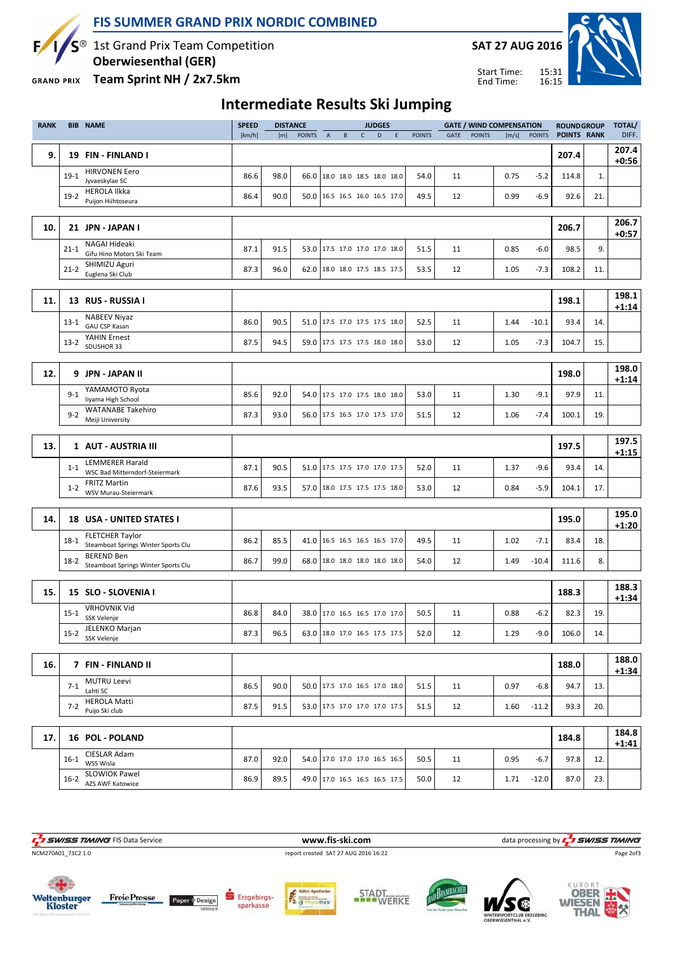

#### FIS SUMMER GRAND PRIX NORDIC COMBINED

 $S^{\circledast}$  1st Grand Prix Team Competition

Oberwiesenthal (GER)

**GRAND PRIX** Team Sprint NH / 2x7.5km



**WIESEN** 

THAI

Start Time: End Time:



Intermediate Results Ski Jumping

| <b>RANK</b> |          | <b>BIB NAME</b>                                                 | <b>SPEED</b> |      | <b>DISTANCE</b> |                |              |              | <b>JUDGES</b>                 |   |               |             |               | <b>GATE / WIND COMPENSATION</b> |               | <b>ROUNDGROUP</b>  |     | <b>TOTAL/</b>    |
|-------------|----------|-----------------------------------------------------------------|--------------|------|-----------------|----------------|--------------|--------------|-------------------------------|---|---------------|-------------|---------------|---------------------------------|---------------|--------------------|-----|------------------|
|             |          |                                                                 | [km/h]       | [m]  | <b>POINTS</b>   | $\overline{A}$ | $\, {\sf B}$ | $\mathsf{C}$ | D                             | E | <b>POINTS</b> | <b>GATE</b> | <b>POINTS</b> | [m/s]                           | <b>POINTS</b> | <b>POINTS RANK</b> |     | DIFF.            |
| 9.          |          | 19 FIN - FINLAND I                                              |              |      |                 |                |              |              |                               |   |               |             |               |                                 |               | 207.4              |     | 207.4<br>$+0:56$ |
|             | $19-1$   | <b>HIRVONEN Eero</b><br>Jyvaeskylae SC                          | 86.6         | 98.0 | 66.0            |                |              |              | 18.0 18.0 18.5 18.0 18.0      |   | 54.0          | 11          |               | 0.75                            | $-5.2$        | 114.8              | 1.  |                  |
|             | $19-2$   | <b>HEROLA Ilkka</b><br>Puijon Hiihtoseura                       | 86.4         | 90.0 |                 |                |              |              | 50.0 16.5 16.5 16.0 16.5 17.0 |   | 49.5          | 12          |               | 0.99                            | $-6.9$        | 92.6               | 21. |                  |
|             |          |                                                                 |              |      |                 |                |              |              |                               |   |               |             |               |                                 |               |                    |     |                  |
| 10.         |          | 21 JPN - JAPAN I                                                |              |      |                 |                |              |              |                               |   |               |             |               |                                 |               | 206.7              |     | 206.7<br>$+0:57$ |
|             | $21 - 1$ | NAGAI Hideaki<br>Gifu Hino Motors Ski Team                      | 87.1         | 91.5 | 53.0            |                |              |              | 17.5 17.0 17.0 17.0 18.0      |   | 51.5          | 11          |               | 0.85                            | $-6.0$        | 98.5               | 9.  |                  |
|             | $21 - 2$ | SHIMIZU Aguri<br>Euglena Ski Club                               | 87.3         | 96.0 |                 |                |              |              | 62.0 18.0 18.0 17.5 18.5 17.5 |   | 53.5          | 12          |               | 1.05                            | $-7.3$        | 108.2              | 11. |                  |
|             |          |                                                                 |              |      |                 |                |              |              |                               |   |               |             |               |                                 |               |                    |     |                  |
| 11.         |          | 13 RUS - RUSSIA I                                               |              |      |                 |                |              |              |                               |   |               |             |               |                                 |               | 198.1              |     | 198.1<br>$+1:14$ |
|             | $13-1$   | <b>NABEEV Niyaz</b><br>GAU CSP Kasan                            | 86.0         | 90.5 | 51.0            |                |              |              | 17.5 17.0 17.5 17.5 18.0      |   | 52.5          | 11          |               | 1.44                            | $-10.1$       | 93.4               | 14. |                  |
|             | $13-2$   | YAHIN Ernest<br>SDUSHOR 33                                      | 87.5         | 94.5 | 59.0            |                |              |              | 17.5 17.5 17.5 18.0 18.0      |   | 53.0          | 12          |               | 1.05                            | $-7.3$        | 104.7              | 15. |                  |
|             |          |                                                                 |              |      |                 |                |              |              |                               |   |               |             |               |                                 |               |                    |     |                  |
| 12.         |          | 9 JPN - JAPAN II                                                |              |      |                 |                |              |              |                               |   |               |             |               |                                 |               | 198.0              |     | 198.0<br>$+1:14$ |
|             | $9 - 1$  | YAMAMOTO Ryota<br>liyama High School                            | 85.6         | 92.0 |                 |                |              |              | 54.0 17.5 17.0 17.5 18.0 18.0 |   | 53.0          | 11          |               | 1.30                            | $-9.1$        | 97.9               | 11. |                  |
|             | $9 - 2$  | <b>WATANABE Takehiro</b><br>Meiji University                    | 87.3         | 93.0 |                 |                |              |              | 56.0 17.5 16.5 17.0 17.5 17.0 |   | 51.5          | 12          |               | 1.06                            | $-7.4$        | 100.1              | 19. |                  |
|             |          |                                                                 |              |      |                 |                |              |              |                               |   |               |             |               |                                 |               |                    |     |                  |
| 13.         |          | 1 AUT - AUSTRIA III                                             |              |      |                 |                |              |              |                               |   |               |             |               |                                 |               | 197.5              |     | 197.5<br>$+1:15$ |
|             | $1 - 1$  | <b>LEMMERER Harald</b><br><b>WSC Bad Mitterndorf-Steiermark</b> | 87.1         | 90.5 | 51.0            |                |              |              | 17.5 17.5 17.0 17.0 17.5      |   | 52.0          | 11          |               | 1.37                            | $-9.6$        | 93.4               | 14  |                  |
|             | $1 - 2$  | <b>FRITZ Martin</b><br>WSV Murau-Steiermark                     | 87.6         | 93.5 |                 |                |              |              | 57.0 18.0 17.5 17.5 17.5 18.0 |   | 53.0          | 12          |               | 0.84                            | $-5.9$        | 104.1              | 17. |                  |
|             |          |                                                                 |              |      |                 |                |              |              |                               |   |               |             |               |                                 |               |                    |     |                  |
| 14.         |          | <b>18 USA - UNITED STATES I</b>                                 |              |      |                 |                |              |              |                               |   |               |             |               |                                 |               | 195.0              |     | 195.0<br>$+1:20$ |
|             | $18 - 1$ | <b>FLETCHER Taylor</b><br>Steamboat Springs Winter Sports Clu   | 86.2         | 85.5 | 41.0            |                |              |              | 16.5 16.5 16.5 16.5 17.0      |   | 49.5          | 11          |               | 1.02                            | $-7.1$        | 83.4               | 18. |                  |
|             | $18-2$   | <b>BEREND Ben</b><br>Steamboat Springs Winter Sports Clu        | 86.7         | 99.0 |                 |                |              |              | 68.0 18.0 18.0 18.0 18.0 18.0 |   | 54.0          | 12          |               | 1.49                            | $-10.4$       | 111.6              | 8.  |                  |
|             |          |                                                                 |              |      |                 |                |              |              |                               |   |               |             |               |                                 |               |                    |     |                  |
| 15.         |          | 15 SLO - SLOVENIA I                                             |              |      |                 |                |              |              |                               |   |               |             |               |                                 |               | 188.3              |     | 188.3<br>$+1:34$ |
|             | $15-1$   | <b>VRHOVNIK Vid</b><br>SSK Velenje                              | 86.8         | 84.0 |                 |                |              |              | 38.0 17.0 16.5 16.5 17.0 17.0 |   | 50.5          | 11          |               | 0.88                            | $-6.2$        | 82.3               | 19  |                  |
|             | $15 - 2$ | JELENKO Marjan<br>SSK Velenje                                   | 87.3         | 96.5 |                 |                |              |              | 63.0 18.0 17.0 16.5 17.5 17.5 |   | 52.0          | 12          |               | 1.29                            | $-9.0$        | 106.0              | 14. |                  |
|             |          |                                                                 |              |      |                 |                |              |              |                               |   |               |             |               |                                 |               |                    |     |                  |
| 16.         |          | 7 FIN - FINLAND II                                              |              |      |                 |                |              |              |                               |   |               |             |               |                                 |               | 188.0              |     | 188.0<br>$+1:34$ |
|             | $7 - 1$  | <b>MUTRU Leevi</b><br>Lahti SC                                  | 86.5         | 90.0 |                 |                |              |              | 50.0 17.5 17.0 16.5 17.0 18.0 |   | 51.5          | 11          |               | 0.97                            | $-6.8$        | 94.7               | 13. |                  |
|             | $7 - 2$  | <b>HEROLA Matti</b><br>Puijo Ski club                           | 87.5         | 91.5 |                 |                |              |              | 53.0 17.5 17.0 17.0 17.0 17.5 |   | 51.5          | 12          |               | 1.60                            | $-11.2$       | 93.3               | 20. |                  |
|             |          |                                                                 |              |      |                 |                |              |              |                               |   |               |             |               |                                 |               |                    |     |                  |
| 17.         |          | 16 POL - POLAND                                                 |              |      |                 |                |              |              |                               |   |               |             |               |                                 |               | 184.8              |     | 184.8<br>$+1:41$ |
|             | $16-1$   | CIESLAR Adam<br>WSS Wisla                                       | 87.0         | 92.0 |                 |                |              |              | 54.0 17.0 17.0 17.0 16.5 16.5 |   | 50.5          | 11          |               | 0.95                            | $-6.7$        | 97.8               | 12. |                  |
|             |          | <b>SLOWIOK Pawel</b><br>16-2 AZS AWF Katowice                   | 86.9         | 89.5 |                 |                |              |              | 49.0 17.0 16.5 16.5 16.5 17.5 |   | 50.0          | 12          |               | 1.71                            | $-12.0$       | 87.0               | 23. |                  |



sparkasse